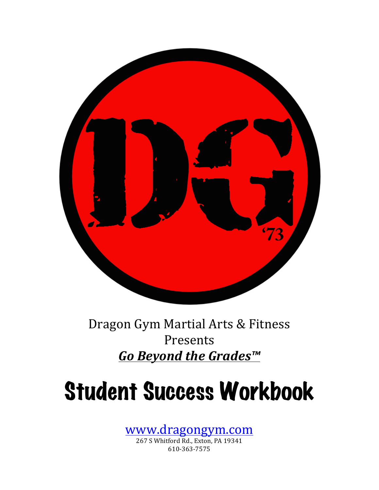

Dragon Gym Martial Arts & Fitness Presents *Go Beyond the Grades™* 

# Student Success Workbook

www.dragongym.com

267 S Whitford Rd., Exton, PA 19341 610-363-7575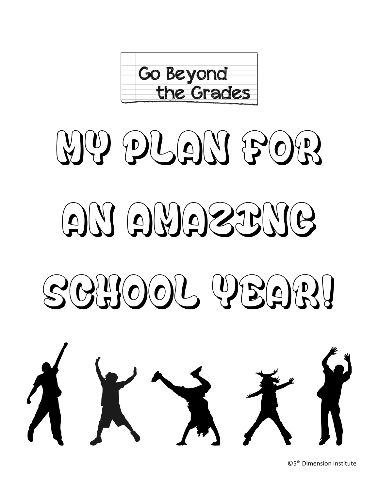

# $(\forall)(\&\mathcal{P}) \in \mathcal{P}(\mathcal{Q}) \setminus \mathcal{P}(\mathcal{Q})$  $\mathcal{A}(\mathcal{A})$  $S(\Theta|\mathbf{U})\setminus \{(\Theta)(\Theta)\} \cup \{(\Theta)(\Theta)\}$



©5th Dimension Institute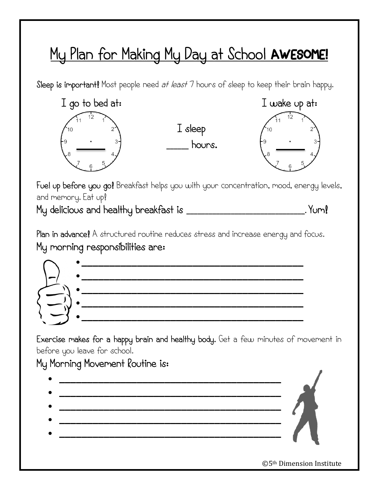### My Plan for Making My Day at School AWESOME!

Sleep is important! Most people need at least 7 hours of sleep to keep their brain happy.



I sleep **\_\_\_\_\_\_** hours.



Fuel up before you go! Breakfast helps you with your concentration, mood, energy levels, and memory. Eat up!

My delicious and healthy breakfast is **\_\_\_\_\_\_\_\_\_\_\_\_\_\_\_\_\_\_\_\_\_\_\_\_\_\_\_\_\_\_\_\_.** Yum!

Plan in advance! A structured routine reduces stress and increase energy and focus. My morning responsibilities are:



Exercise makes for a happy brain and healthy body. Get a few minutes of movement in before you leave for school.

### My Morning Movement Routine is:



©5th Dimension Institute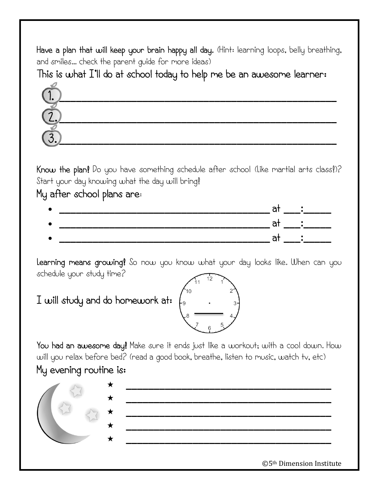Have a plan that will keep your brain happy all day. (Hint: learning loops, belly breathing, and smiles… check the parent guide for more ideas)

This is what I'll do at school today to help me be an awesome learner:



Know the plan! Do you have something schedule after school (Like martial arts class!)? Start your day knowing what the day will bring!

My after school plans are:



Learning means growing! So now you know what your day looks like. When can you schedule your study time?

I will study and do homework at:



### My evening routine is:



©5th Dimension Institute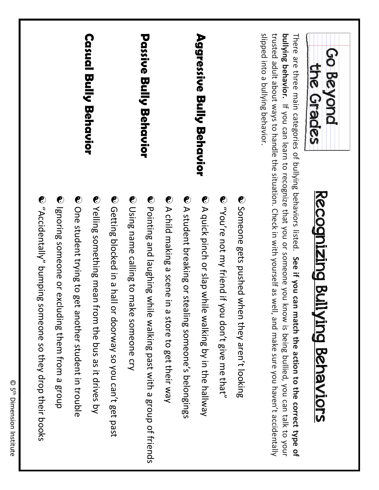|                                                              |                                                   |                                                            | <b>Casual Bully Behavior</b>                           |                                                            |                                          | <b>Passice Berly Bernession</b>              |                                                         |                                                        | Aggressive Bully Behavior                               |                                                       |                                                | slipped into a bullying behavior.<br>bullying behavior. If you can learn to recognize that you or someone you                                                                                                                                                                                   | Go Beyond<br>the Grades               |  |
|--------------------------------------------------------------|---------------------------------------------------|------------------------------------------------------------|--------------------------------------------------------|------------------------------------------------------------|------------------------------------------|----------------------------------------------|---------------------------------------------------------|--------------------------------------------------------|---------------------------------------------------------|-------------------------------------------------------|------------------------------------------------|-------------------------------------------------------------------------------------------------------------------------------------------------------------------------------------------------------------------------------------------------------------------------------------------------|---------------------------------------|--|
| C "Accidentally" bunping<br>someone so they drop their books | ● Ignoring someone or excluding them from a group | ⊙ One student trying to g<br>et another student in trouble | Velling something mean<br>from the bus as it drives by | Cetting blocked in a hall or doorway so you can't get past | ● Using name calling to make someone cry | Compartion of triends and a group of friends | C A child making a scene<br>in a store to get their way | • A strabure preaking or stealing someone's pelongings | C A drick pinch or slap while walking by in the hallway | C "You're not my friend if<br>you don't give me that? | → Someone gets pushed when they aren't looking | trusted adult about ways to handle the situation. Check in with yourself as well, and make sure you haven't accidentally<br>There are three main categories of bullying behaviors listed. See if you can match the action to the correct type of<br>know is being bullied, you can talk to your | <u>Recognizing Bullying Behaviors</u> |  |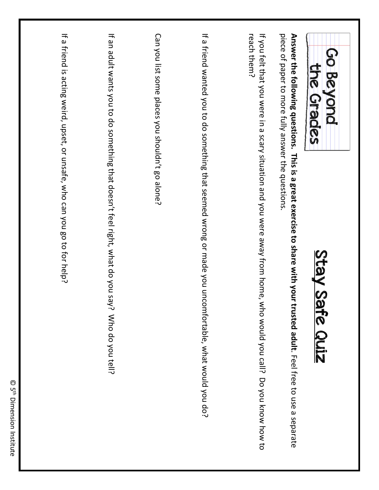| Go Beyond<br>the Grades<br>Stay Safe Quiz                                                                                                                                   |  |
|-----------------------------------------------------------------------------------------------------------------------------------------------------------------------------|--|
| Answer the following questions. This is a great exercise to share with your trusted adult. Feel free to use a separate<br>piece of paper to more fully answer the questions |  |
| if you for that you were in a scary situation and you were away from pone, who would you call? Do you know how to<br>reach them?                                            |  |
| If a friend wanted you to do something that seemed wrong or made you uncomfortable, what would you do?                                                                      |  |
| Can you list some places you shouldn't go alone?                                                                                                                            |  |
| If an adult wants you to do something that doesn't feel right, what do you say?<br>Who do you tell?                                                                         |  |
| If a friend is acting weird, upset, or unsafe, who can you go to for help?                                                                                                  |  |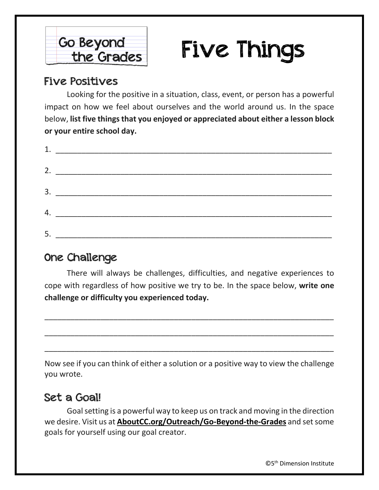

# Five Things

### Five Positives

Looking for the positive in a situation, class, event, or person has a powerful impact on how we feel about ourselves and the world around us. In the space below, **list five things that you enjoyed or appreciated about either a lesson block or your entire school day.**

| 5. |  |
|----|--|

### One Challenge

There will always be challenges, difficulties, and negative experiences to cope with regardless of how positive we try to be. In the space below, **write one challenge or difficulty you experienced today.**

\_\_\_\_\_\_\_\_\_\_\_\_\_\_\_\_\_\_\_\_\_\_\_\_\_\_\_\_\_\_\_\_\_\_\_\_\_\_\_\_\_\_\_\_\_\_\_\_\_\_\_\_\_\_\_\_\_\_\_\_\_\_\_\_\_\_\_

\_\_\_\_\_\_\_\_\_\_\_\_\_\_\_\_\_\_\_\_\_\_\_\_\_\_\_\_\_\_\_\_\_\_\_\_\_\_\_\_\_\_\_\_\_\_\_\_\_\_\_\_\_\_\_\_\_\_\_\_\_\_\_\_\_\_\_

\_\_\_\_\_\_\_\_\_\_\_\_\_\_\_\_\_\_\_\_\_\_\_\_\_\_\_\_\_\_\_\_\_\_\_\_\_\_\_\_\_\_\_\_\_\_\_\_\_\_\_\_\_\_\_\_\_\_\_\_\_\_\_\_\_\_\_

Now see if you can think of either a solution or a positive way to view the challenge you wrote.

### Set a Goal!

Goal setting is a powerful way to keep us on track and moving in the direction we desire. Visit us at **AboutCC.org/Outreach/Go-Beyond-the-Grades** and set some goals for yourself using our goal creator.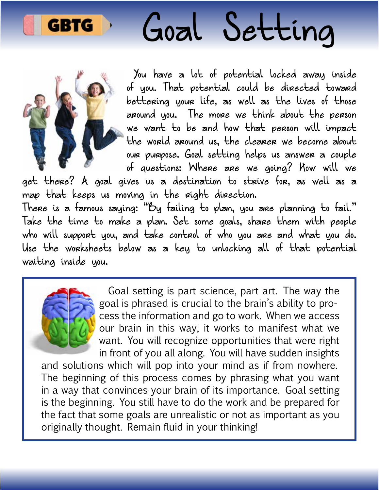

# Goal Setting



You have a lot of potential locked away inside of you. That potential could be directed toward bettering your life, as well as the lives of those around you. The more we think about the person we want to be and how that person will impact the world around us, the clearer we become about our purpose. Goal setting helps us answer a couple of questions: Where are we going? How will we

get there? A goal gives us a destination to strive for, as well as a map that keeps us moving in the right direction.

There is a famous saying: "By failing to plan, you are planning to fail." Take the time to make a plan. Set some goals, share them with people who will support you, and take control of who you are and what you do. Use the worksheets below as a key to unlocking all of that potential waiting inside you.



Goal setting is part science, part art. The way the goal is phrased is crucial to the brain's ability to process the information and go to work. When we access our brain in this way, it works to manifest what we want. You will recognize opportunities that were right in front of you all along. You will have sudden insights

and solutions which will pop into your mind as if from nowhere. The beginning of this process comes by phrasing what you want in a way that convinces your brain of its importance. Goal setting is the beginning. You still have to do the work and be prepared for the fact that some goals are unrealistic or not as important as you originally thought. Remain fluid in your thinking!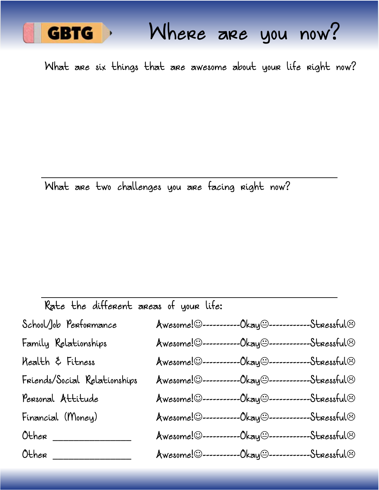

What are six things that are awesome about your life right now?

What are two challenges you are facing right now?

| Rate the different areas of your life: |                           |                               |                      |
|----------------------------------------|---------------------------|-------------------------------|----------------------|
| School/Job Performance                 | Awesome! 0--------        | -Okay⊖--------                | -Stressful $\odot$   |
| Family Relationships                   |                           |                               | -Stressful©          |
| Kealth & Fitness                       | $A$ wesome! $\odot$ ---   | -Okay⊕--                      | -Str <i>e</i> ssful© |
| Friends/Social Relationships           | $A$ wesome! $\odot$ ---   | -Okay⊖----                    | -Stressful©          |
| Personal Attitude                      | $A$ wesome! $\odot$ ----- | -0kay@----------              | -Stressful®          |
| Financial (Money)                      | Awesome!©----             | -Okay⊖-                       | -Stressful©          |
| Other                                  | $A$ wesome! $\odot$ --    | -0kay@----------              | -Stressful $\odot$   |
| Other                                  | $A$ wesome! $\odot$ ---   | --Okay@------------Stressful@ |                      |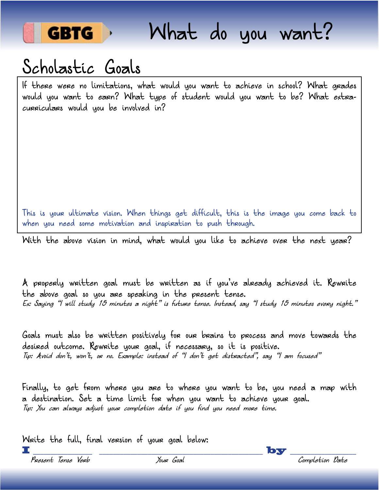

## Scholastic Goals

If there were no limitations, what would you want to achieve in school? What grades would you want to earn? What type of student would you want to be? What extracurriculars would you be involved in?

This is your ultimate vision. When things get diffcult, this is the image you come back to when you need some motivation and inspiration to push through.

With the above vision in mind, what would you like to achieve over the next year?

A properly written goal must be written as if you've already achieved it. Rewrite the above goal so you are speaking in the present tense. Ex: Saying "I will study 15 minutes a night" is future tense. Instead, say "I study 15 minutes every night."

Goals must also be written positively for our brains to process and move towards the desired outcome. Rewrite your goal, if necessary, so it is positive. Tip: Avoid don't, won't, or no. Example: instead of "I don't get distracted", say "I am focused"

Finally, to get from where you are to where you want to be, you need a map with a destination. Set a time limit for when you want to achieve your goal. Tip: You can always adjust your completion date if you find you need more time.

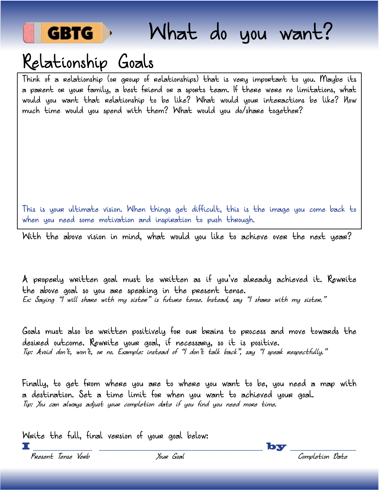

## Relationship Goals

Think of a relationship (or group of relationships) that is very important to you. Maybe its a parent or your family, a best friend or a sports team. If there were no limitations, what would you want that relationship to be like? What would your interactions be like? How much time would you spend with them? What would you do/share together?

This is your ultimate vision. When things get difficult, this is the image you come back to when you need some motivation and inspiration to push through.

With the above vision in mind, what would you like to achieve over the next year?

A properly written goal must be written as if you've already achieved it. Rewrite the above goal so you are speaking in the present tense. Ex: Saying "I will share with my sister" is future tense. Instead, say "I share with my sister."

Goals must also be written positively for our brains to process and move towards the desired outcome. Rewrite your goal, if necessary, so it is positive. Tip: Avoid don't, won't, or no. Example: instead of "I don't talk back", say "I speak respectfully."

Finally, to get from where you are to where you want to be, you need a map with a destination. Set a time limit for when you want to achieved your goal. Tip: You can always adjust your completion date if you find you need more time.

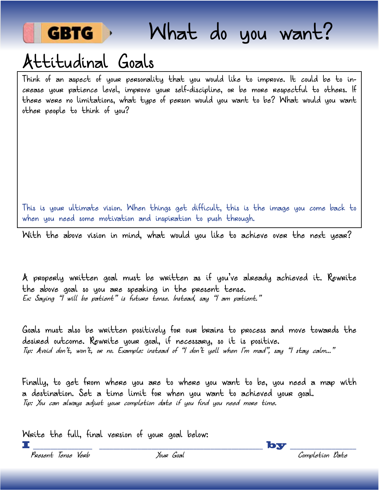

### Attitudinal Goals

Think of an aspect of your personality that you would like to improve. It could be to increase your patience level, improve your self-discipline, or be more respectful to others. If there were no limitations, what type of person would you want to be? What would you want other people to think of you?

This is your ultimate vision. When things get difficult, this is the image you come back to when you need some motivation and inspiration to push through.

With the above vision in mind, what would you like to achieve over the next year?

A properly written goal must be written as if you've already achieved it. Rewrite the above goal so you are speaking in the present tense. Ex: Saying "I will be patient" is future tense. Instead, say "I am patient."

Goals must also be written positively for our brains to process and move towards the desired outcome. Rewrite your goal, if necessary, so it is positive. Tip: Avoid don't, won't, or no. Example: instead of "I don't yell when I'm mad", say "I stay calm..."

Finally, to get from where you are to where you want to be, you need a map with a destination. Set a time limit for when you want to achieved your goal. Tip: You can always adjust your completion date if you find you need more time.



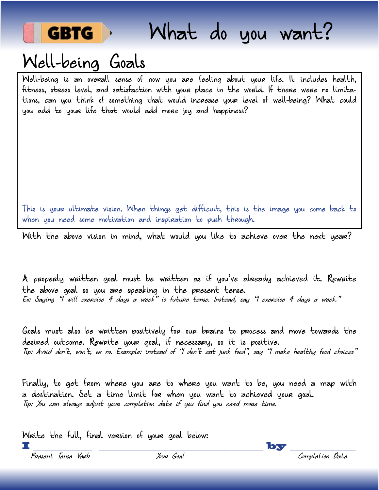

# Well-being Goals

Well-being is an overall sense of how you are feeling about your life. It includes health, ftness, stress level, and satisfaction with your place in the world. If there were no limitations, can you think of something that would increase your level of well-being? What could you add to your life that would add more joy and happiness?

This is your ultimate vision. When things get difficult, this is the image you come back to when you need some motivation and inspiration to push through.

With the above vision in mind, what would you like to achieve over the next year?

A properly written goal must be written as if you've already achieved it. Rewrite the above goal so you are speaking in the present tense. Ex: Saying "I will exercise 4 days a week" is future tense. Instead, say "I exercise 4 days a week."

Goals must also be written positively for our brains to process and move towards the desired outcome. Rewrite your goal, if necessary, so it is positive. Tip: Avoid don't, won't, or no. Example: instead of "I don't eat junk food", say "I make healthy food choices"

Finally, to get from where you are to where you want to be, you need a map with a destination. Set a time limit for when you want to achieved your goal. Tip: You can always adjust your completion date if you find you need more time.

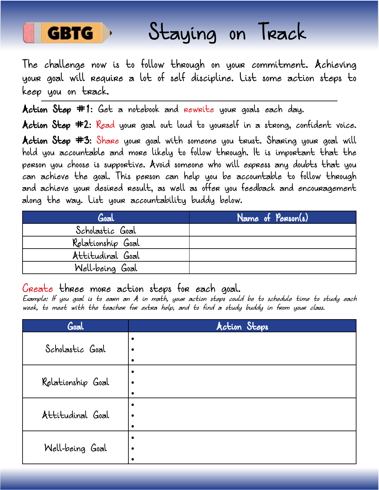

# Staying on Track

The challenge now is to follow through on your commitment. Achieving your goal will require a lot of self discipline. List some action steps to keep you on track.

Action Step #1: Get a notebook and rewrite your goals each day.

**Action Step #2:** Read your goal out loud to yourself in a strong, confident voice. Action Step #3: Share your goal with someone you trust. Sharing your goal will hold you accountable and more likely to follow through. It is important that the person you choose is supportive. Avoid someone who will express any doubts that you can achieve the goal. This person can help you be accountable to follow through and achieve your desired result, as well as offer you feedback and encouragement along the way. List your accountability buddy below.

| Goal              | Name of Person(s) |
|-------------------|-------------------|
| Scholastic Goal   |                   |
| Relationship Goal |                   |
| Attitudinal Goal  |                   |
| Well-being Goal   |                   |

Create three more action steps for each goal.

Example: If you goal is to earn an A in math, your action steps could be to schedule time to study each week, to meet with the teacher for extra help, and to find a study buddy in from your class.

| Goal              | Action Steps |
|-------------------|--------------|
|                   | $\bullet$    |
| Scholastic Goal   | $\bullet$    |
|                   | $\bullet$    |
|                   | $\bullet$    |
| Relationship Goal | $\bullet$    |
|                   | $\bullet$    |
|                   | $\bullet$    |
| Attitudinal Goal  | $\bullet$    |
|                   | $\bullet$    |
|                   | $\bullet$    |
| Well-being Goal   | $\bullet$    |
|                   |              |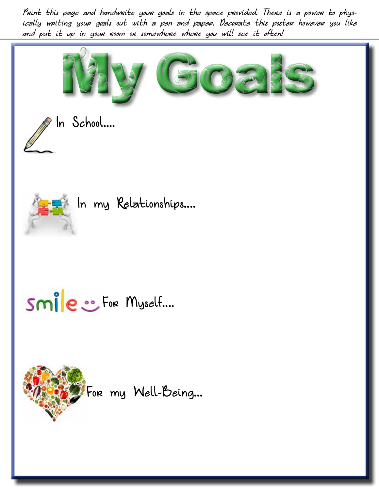Print this page and handwrite your goals in the space provided. There is a power to physically writing your goals out with a pen and paper. Decorate this poster however you like and put it up in your room or somewhere where you will see it often!





### In my Relationships....

# Smile : For Myself....